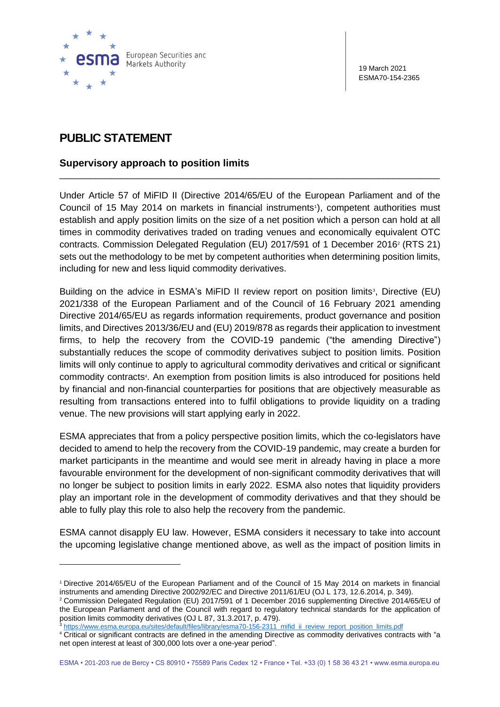

19 March 2021 ESMA70-154-2365

## **PUBLIC STATEMENT**

## **Supervisory approach to position limits**

Under Article 57 of MiFID II (Directive 2014/65/EU of the European Parliament and of the Council of 15 May 2014 on markets in financial instruments<sup>1</sup>), competent authorities must establish and apply position limits on the size of a net position which a person can hold at all times in commodity derivatives traded on trading venues and economically equivalent OTC contracts. Commission Delegated Regulation (EU) 2017/591 of 1 December 2016<sup>2</sup> (RTS 21) sets out the methodology to be met by competent authorities when determining position limits, including for new and less liquid commodity derivatives.

\_\_\_\_\_\_\_\_\_\_\_\_\_\_\_\_\_\_\_\_\_\_\_\_\_\_\_\_\_\_\_\_\_\_\_\_\_\_\_\_\_\_\_\_\_\_\_\_\_\_\_\_\_\_\_\_\_\_\_\_\_\_\_\_\_\_\_\_\_\_\_\_\_\_

Building on the advice in ESMA's MiFID II review report on position limits<sup>3</sup>, Directive (EU) 2021/338 of the European Parliament and of the Council of 16 February 2021 amending Directive 2014/65/EU as regards information requirements, product governance and position limits, and Directives 2013/36/EU and (EU) 2019/878 as regards their application to investment firms, to help the recovery from the COVID-19 pandemic ("the amending Directive") substantially reduces the scope of commodity derivatives subject to position limits. Position limits will only continue to apply to agricultural commodity derivatives and critical or significant commodity contracts<sup>4</sup>. An exemption from position limits is also introduced for positions held by financial and non-financial counterparties for positions that are objectively measurable as resulting from transactions entered into to fulfil obligations to provide liquidity on a trading venue. The new provisions will start applying early in 2022.

ESMA appreciates that from a policy perspective position limits, which the co-legislators have decided to amend to help the recovery from the COVID-19 pandemic, may create a burden for market participants in the meantime and would see merit in already having in place a more favourable environment for the development of non-significant commodity derivatives that will no longer be subject to position limits in early 2022. ESMA also notes that liquidity providers play an important role in the development of commodity derivatives and that they should be able to fully play this role to also help the recovery from the pandemic.

ESMA cannot disapply EU law. However, ESMA considers it necessary to take into account the upcoming legislative change mentioned above, as well as the impact of position limits in

[https://www.esma.europa.eu/sites/default/files/library/esma70-156-2311\\_mifid\\_ii\\_review\\_report\\_position\\_limits.pdf](https://www.esma.europa.eu/sites/default/files/library/esma70-156-2311_mifid_ii_review_report_position_limits.pdf)

<sup>1</sup> Directive 2014/65/EU of the European Parliament and of the Council of 15 May 2014 on markets in financial instruments and amending Directive 2002/92/EC and Directive 2011/61/EU (OJ L 173, 12.6.2014, p. 349).

<sup>2</sup> Commission Delegated Regulation (EU) 2017/591 of 1 December 2016 supplementing Directive 2014/65/EU of the European Parliament and of the Council with regard to regulatory technical standards for the application of position limits commodity derivatives (OJ L 87, 31.3.2017, p. 479).

<sup>4</sup> Critical or significant contracts are defined in the amending Directive as commodity derivatives contracts with "a net open interest at least of 300,000 lots over a one-year period".